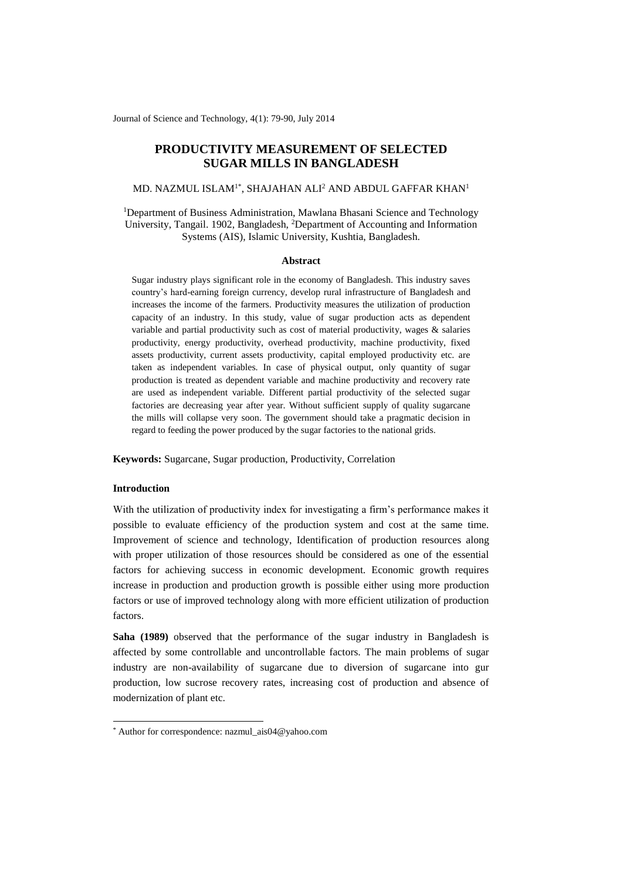Journal of Science and Technology, 4(1): 79-90, July 2014

# **PRODUCTIVITY MEASUREMENT OF SELECTED SUGAR MILLS IN BANGLADESH**

### MD. NAZMUL ISLAM $^{\rm l*}$ , SHAJAHAN ALI $^{\rm 2}$  AND ABDUL GAFFAR KHAN $^{\rm l}$

<sup>1</sup>Department of Business Administration, Mawlana Bhasani Science and Technology University, Tangail. 1902, Bangladesh, <sup>2</sup>Department of Accounting and Information Systems (AIS), Islamic University, Kushtia, Bangladesh.

#### **Abstract**

Sugar industry plays significant role in the economy of Bangladesh. This industry saves country's hard-earning foreign currency, develop rural infrastructure of Bangladesh and increases the income of the farmers. Productivity measures the utilization of production capacity of an industry. In this study, value of sugar production acts as dependent variable and partial productivity such as cost of material productivity, wages & salaries productivity, energy productivity, overhead productivity, machine productivity, fixed assets productivity, current assets productivity, capital employed productivity etc. are taken as independent variables. In case of physical output, only quantity of sugar production is treated as dependent variable and machine productivity and recovery rate are used as independent variable. Different partial productivity of the selected sugar factories are decreasing year after year. Without sufficient supply of quality sugarcane the mills will collapse very soon. The government should take a pragmatic decision in regard to feeding the power produced by the sugar factories to the national grids.

**Keywords:** Sugarcane, Sugar production, Productivity, Correlation

# **Introduction**

1

With the utilization of productivity index for investigating a firm's performance makes it possible to evaluate efficiency of the production system and cost at the same time. Improvement of science and technology, Identification of production resources along with proper utilization of those resources should be considered as one of the essential factors for achieving success in economic development. Economic growth requires increase in production and production growth is possible either using more production factors or use of improved technology along with more efficient utilization of production factors.

**Saha (1989)** observed that the performance of the sugar industry in Bangladesh is affected by some controllable and uncontrollable factors. The main problems of sugar industry are non-availability of sugarcane due to diversion of sugarcane into gur production, low sucrose recovery rates, increasing cost of production and absence of modernization of plant etc.

<sup>\*</sup> Author for correspondence: nazmul\_ais04@yahoo.com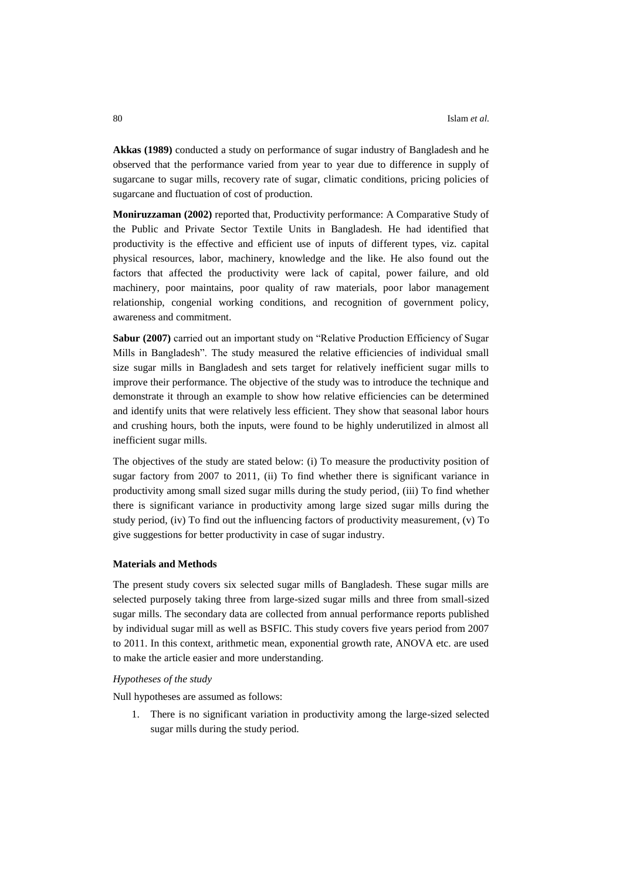**Akkas (1989)** conducted a study on performance of sugar industry of Bangladesh and he observed that the performance varied from year to year due to difference in supply of sugarcane to sugar mills, recovery rate of sugar, climatic conditions, pricing policies of sugarcane and fluctuation of cost of production.

**Moniruzzaman (2002)** reported that, Productivity performance: A Comparative Study of the Public and Private Sector Textile Units in Bangladesh. He had identified that productivity is the effective and efficient use of inputs of different types, viz. capital physical resources, labor, machinery, knowledge and the like. He also found out the factors that affected the productivity were lack of capital, power failure, and old machinery, poor maintains, poor quality of raw materials, poor labor management relationship, congenial working conditions, and recognition of government policy, awareness and commitment.

**Sabur (2007)** carried out an important study on "Relative Production Efficiency of Sugar Mills in Bangladesh". The study measured the relative efficiencies of individual small size sugar mills in Bangladesh and sets target for relatively inefficient sugar mills to improve their performance. The objective of the study was to introduce the technique and demonstrate it through an example to show how relative efficiencies can be determined and identify units that were relatively less efficient. They show that seasonal labor hours and crushing hours, both the inputs, were found to be highly underutilized in almost all inefficient sugar mills.

The objectives of the study are stated below: (i) To measure the productivity position of sugar factory from 2007 to 2011, (ii) To find whether there is significant variance in productivity among small sized sugar mills during the study period, (iii) To find whether there is significant variance in productivity among large sized sugar mills during the study period, (iv) To find out the influencing factors of productivity measurement, (v) To give suggestions for better productivity in case of sugar industry.

#### **Materials and Methods**

The present study covers six selected sugar mills of Bangladesh. These sugar mills are selected purposely taking three from large-sized sugar mills and three from small-sized sugar mills. The secondary data are collected from annual performance reports published by individual sugar mill as well as BSFIC. This study covers five years period from 2007 to 2011. In this context, arithmetic mean, exponential growth rate, ANOVA etc. are used to make the article easier and more understanding.

# *Hypotheses of the study*

Null hypotheses are assumed as follows:

1. There is no significant variation in productivity among the large-sized selected sugar mills during the study period.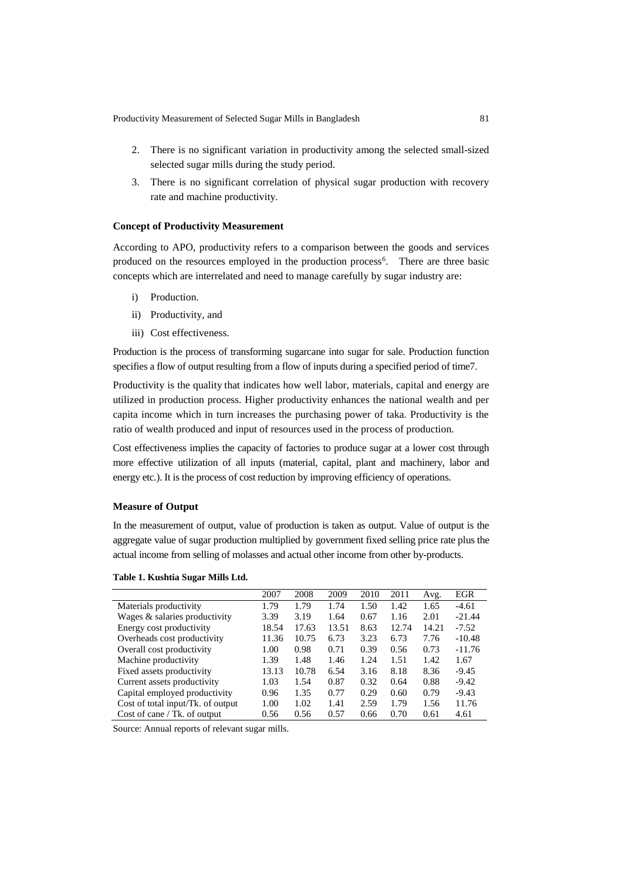Productivity Measurement of Selected Sugar Mills in Bangladesh 81

- 2. There is no significant variation in productivity among the selected small-sized selected sugar mills during the study period.
- 3. There is no significant correlation of physical sugar production with recovery rate and machine productivity.

# **Concept of Productivity Measurement**

According to APO, productivity refers to a comparison between the goods and services produced on the resources employed in the production process<sup>6</sup>. There are three basic concepts which are interrelated and need to manage carefully by sugar industry are:

- i) Production.
- ii) Productivity, and
- iii) Cost effectiveness.

Production is the process of transforming sugarcane into sugar for sale. Production function specifies a flow of output resulting from a flow of inputs during a specified period of time7.

Productivity is the quality that indicates how well labor, materials, capital and energy are utilized in production process. Higher productivity enhances the national wealth and per capita income which in turn increases the purchasing power of taka. Productivity is the ratio of wealth produced and input of resources used in the process of production.

Cost effectiveness implies the capacity of factories to produce sugar at a lower cost through more effective utilization of all inputs (material, capital, plant and machinery, labor and energy etc.). It is the process of cost reduction by improving efficiency of operations.

#### **Measure of Output**

In the measurement of output, value of production is taken as output. Value of output is the aggregate value of sugar production multiplied by government fixed selling price rate plus the actual income from selling of molasses and actual other income from other by-products.

|                                   | 2007  | 2008  | 2009  | 2010 | 2011  | Avg.  | EGR      |
|-----------------------------------|-------|-------|-------|------|-------|-------|----------|
| Materials productivity            | 1.79  | 1.79  | 1.74  | 1.50 | 1.42  | 1.65  | $-4.61$  |
| Wages & salaries productivity     | 3.39  | 3.19  | 1.64  | 0.67 | 1.16  | 2.01  | $-21.44$ |
| Energy cost productivity          | 18.54 | 17.63 | 13.51 | 8.63 | 12.74 | 14.21 | $-7.52$  |
| Overheads cost productivity       | 11.36 | 10.75 | 6.73  | 3.23 | 6.73  | 7.76  | $-10.48$ |
| Overall cost productivity         | 1.00  | 0.98  | 0.71  | 0.39 | 0.56  | 0.73  | $-11.76$ |
| Machine productivity              | 1.39  | 1.48  | 1.46  | 1.24 | 1.51  | 1.42  | 1.67     |
| Fixed assets productivity         | 13.13 | 10.78 | 6.54  | 3.16 | 8.18  | 8.36  | $-9.45$  |
| Current assets productivity       | 1.03  | 1.54  | 0.87  | 0.32 | 0.64  | 0.88  | $-9.42$  |
| Capital employed productivity     | 0.96  | 1.35  | 0.77  | 0.29 | 0.60  | 0.79  | $-9.43$  |
| Cost of total input/Tk. of output | 1.00  | 1.02  | 1.41  | 2.59 | 1.79  | 1.56  | 11.76    |
| Cost of cane / Tk. of output      | 0.56  | 0.56  | 0.57  | 0.66 | 0.70  | 0.61  | 4.61     |

Source: Annual reports of relevant sugar mills.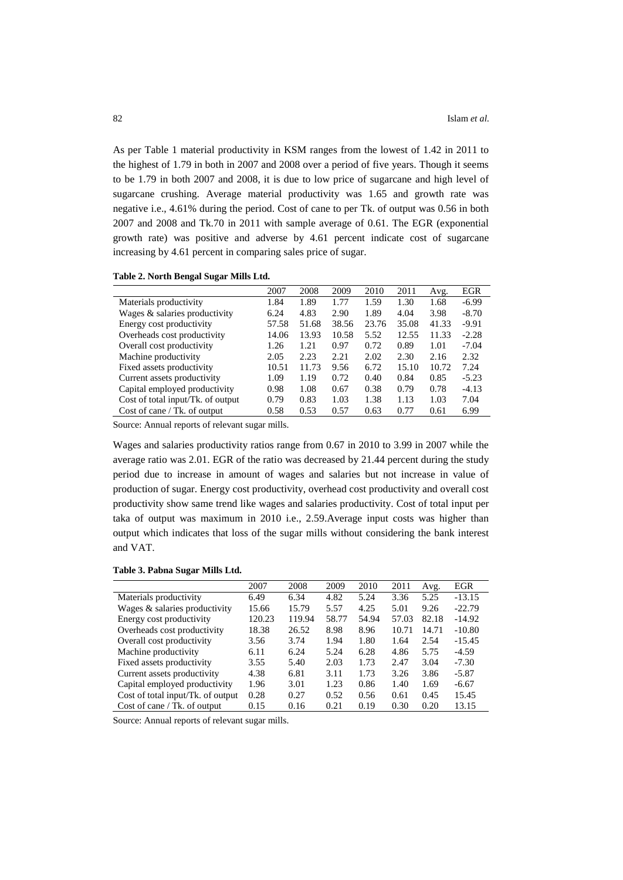As per Table 1 material productivity in KSM ranges from the lowest of 1.42 in 2011 to the highest of 1.79 in both in 2007 and 2008 over a period of five years. Though it seems to be 1.79 in both 2007 and 2008, it is due to low price of sugarcane and high level of sugarcane crushing. Average material productivity was 1.65 and growth rate was negative i.e., 4.61% during the period. Cost of cane to per Tk. of output was 0.56 in both 2007 and 2008 and Tk.70 in 2011 with sample average of 0.61. The EGR (exponential growth rate) was positive and adverse by 4.61 percent indicate cost of sugarcane increasing by 4.61 percent in comparing sales price of sugar.

| Table 2. North Bengal Sugar Mills Ltd. |  |  |  |  |  |
|----------------------------------------|--|--|--|--|--|
|----------------------------------------|--|--|--|--|--|

|                                   | 2007  | 2008  | 2009  | 2010  | 2011  | Avg.  | <b>EGR</b> |
|-----------------------------------|-------|-------|-------|-------|-------|-------|------------|
| Materials productivity            | 1.84  | 1.89  | 1.77  | 1.59  | 1.30  | 1.68  | $-6.99$    |
| Wages & salaries productivity     | 6.24  | 4.83  | 2.90  | 1.89  | 4.04  | 3.98  | $-8.70$    |
| Energy cost productivity          | 57.58 | 51.68 | 38.56 | 23.76 | 35.08 | 41.33 | $-9.91$    |
| Overheads cost productivity       | 14.06 | 13.93 | 10.58 | 5.52  | 12.55 | 11.33 | $-2.28$    |
| Overall cost productivity         | 1.26  | 1.21  | 0.97  | 0.72  | 0.89  | 1.01  | $-7.04$    |
| Machine productivity              | 2.05  | 2.23  | 2.21  | 2.02  | 2.30  | 2.16  | 2.32       |
| Fixed assets productivity         | 10.51 | 11.73 | 9.56  | 6.72  | 15.10 | 10.72 | 7.24       |
| Current assets productivity       | 1.09  | 1.19  | 0.72  | 0.40  | 0.84  | 0.85  | $-5.23$    |
| Capital employed productivity     | 0.98  | 1.08  | 0.67  | 0.38  | 0.79  | 0.78  | $-4.13$    |
| Cost of total input/Tk. of output | 0.79  | 0.83  | 1.03  | 1.38  | 1.13  | 1.03  | 7.04       |
| Cost of cane $/$ Tk. of output    | 0.58  | 0.53  | 0.57  | 0.63  | 0.77  | 0.61  | 6.99       |

Source: Annual reports of relevant sugar mills.

Wages and salaries productivity ratios range from 0.67 in 2010 to 3.99 in 2007 while the average ratio was 2.01. EGR of the ratio was decreased by 21.44 percent during the study period due to increase in amount of wages and salaries but not increase in value of production of sugar. Energy cost productivity, overhead cost productivity and overall cost productivity show same trend like wages and salaries productivity. Cost of total input per taka of output was maximum in 2010 i.e., 2.59.Average input costs was higher than output which indicates that loss of the sugar mills without considering the bank interest and VAT.

**Table 3. Pabna Sugar Mills Ltd.**

|                                   | 2007   | 2008   | 2009  | 2010  | 2011  | Avg.  | EGR      |
|-----------------------------------|--------|--------|-------|-------|-------|-------|----------|
| Materials productivity            | 6.49   | 6.34   | 4.82  | 5.24  | 3.36  | 5.25  | $-13.15$ |
| Wages & salaries productivity     | 15.66  | 15.79  | 5.57  | 4.25  | 5.01  | 9.26  | $-22.79$ |
| Energy cost productivity          | 120.23 | 119.94 | 58.77 | 54.94 | 57.03 | 82.18 | $-14.92$ |
| Overheads cost productivity       | 18.38  | 26.52  | 8.98  | 8.96  | 10.71 | 14.71 | $-10.80$ |
| Overall cost productivity         | 3.56   | 3.74   | 1.94  | 1.80  | 1.64  | 2.54  | $-15.45$ |
| Machine productivity              | 6.11   | 6.24   | 5.24  | 6.28  | 4.86  | 5.75  | $-4.59$  |
| Fixed assets productivity         | 3.55   | 5.40   | 2.03  | 1.73  | 2.47  | 3.04  | $-7.30$  |
| Current assets productivity       | 4.38   | 6.81   | 3.11  | 1.73  | 3.26  | 3.86  | $-5.87$  |
| Capital employed productivity     | 1.96   | 3.01   | 1.23  | 0.86  | 1.40  | 1.69  | $-6.67$  |
| Cost of total input/Tk. of output | 0.28   | 0.27   | 0.52  | 0.56  | 0.61  | 0.45  | 15.45    |
| Cost of cane / Tk. of output      | 0.15   | 0.16   | 0.21  | 0.19  | 0.30  | 0.20  | 13.15    |

Source: Annual reports of relevant sugar mills.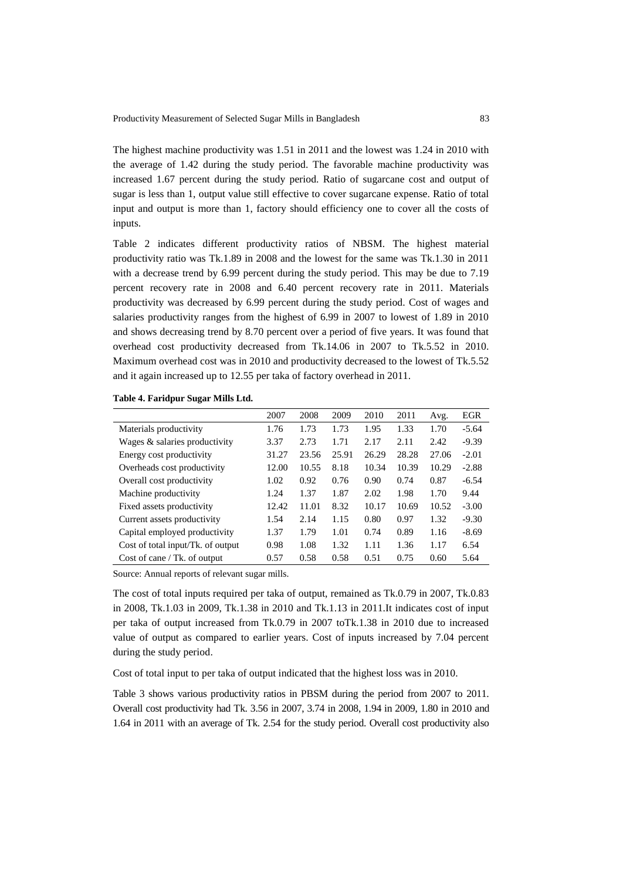The highest machine productivity was 1.51 in 2011 and the lowest was 1.24 in 2010 with the average of 1.42 during the study period. The favorable machine productivity was increased 1.67 percent during the study period. Ratio of sugarcane cost and output of sugar is less than 1, output value still effective to cover sugarcane expense. Ratio of total input and output is more than 1, factory should efficiency one to cover all the costs of inputs.

Table 2 indicates different productivity ratios of NBSM. The highest material productivity ratio was Tk.1.89 in 2008 and the lowest for the same was Tk.1.30 in 2011 with a decrease trend by 6.99 percent during the study period. This may be due to 7.19 percent recovery rate in 2008 and 6.40 percent recovery rate in 2011. Materials productivity was decreased by 6.99 percent during the study period. Cost of wages and salaries productivity ranges from the highest of 6.99 in 2007 to lowest of 1.89 in 2010 and shows decreasing trend by 8.70 percent over a period of five years. It was found that overhead cost productivity decreased from Tk.14.06 in 2007 to Tk.5.52 in 2010. Maximum overhead cost was in 2010 and productivity decreased to the lowest of Tk.5.52 and it again increased up to 12.55 per taka of factory overhead in 2011.

|                                   | 2007  | 2008  | 2009  | 2010  | 2011  | Avg.  | <b>EGR</b> |
|-----------------------------------|-------|-------|-------|-------|-------|-------|------------|
| Materials productivity            | 1.76  | 1.73  | 1.73  | 1.95  | 1.33  | 1.70  | $-5.64$    |
| Wages & salaries productivity     | 3.37  | 2.73  | 1.71  | 2.17  | 2.11  | 2.42  | $-9.39$    |
| Energy cost productivity          | 31.27 | 23.56 | 25.91 | 26.29 | 28.28 | 27.06 | $-2.01$    |
| Overheads cost productivity       | 12.00 | 10.55 | 8.18  | 10.34 | 10.39 | 10.29 | $-2.88$    |
| Overall cost productivity         | 1.02  | 0.92  | 0.76  | 0.90  | 0.74  | 0.87  | $-6.54$    |
| Machine productivity              | 1.24  | 1.37  | 1.87  | 2.02  | 1.98  | 1.70  | 9.44       |
| Fixed assets productivity         | 12.42 | 11.01 | 8.32  | 10.17 | 10.69 | 10.52 | $-3.00$    |
| Current assets productivity       | 1.54  | 2.14  | 1.15  | 0.80  | 0.97  | 1.32  | $-9.30$    |
| Capital employed productivity     | 1.37  | 1.79  | 1.01  | 0.74  | 0.89  | 1.16  | $-8.69$    |
| Cost of total input/Tk. of output | 0.98  | 1.08  | 1.32  | 1.11  | 1.36  | 1.17  | 6.54       |
| Cost of cane / Tk. of output      | 0.57  | 0.58  | 0.58  | 0.51  | 0.75  | 0.60  | 5.64       |

Source: Annual reports of relevant sugar mills.

The cost of total inputs required per taka of output, remained as Tk.0.79 in 2007, Tk.0.83 in 2008, Tk.1.03 in 2009, Tk.1.38 in 2010 and Tk.1.13 in 2011.It indicates cost of input per taka of output increased from Tk.0.79 in 2007 toTk.1.38 in 2010 due to increased value of output as compared to earlier years. Cost of inputs increased by 7.04 percent during the study period.

Cost of total input to per taka of output indicated that the highest loss was in 2010.

Table 3 shows various productivity ratios in PBSM during the period from 2007 to 2011. Overall cost productivity had Tk. 3.56 in 2007, 3.74 in 2008, 1.94 in 2009, 1.80 in 2010 and 1.64 in 2011 with an average of Tk. 2.54 for the study period. Overall cost productivity also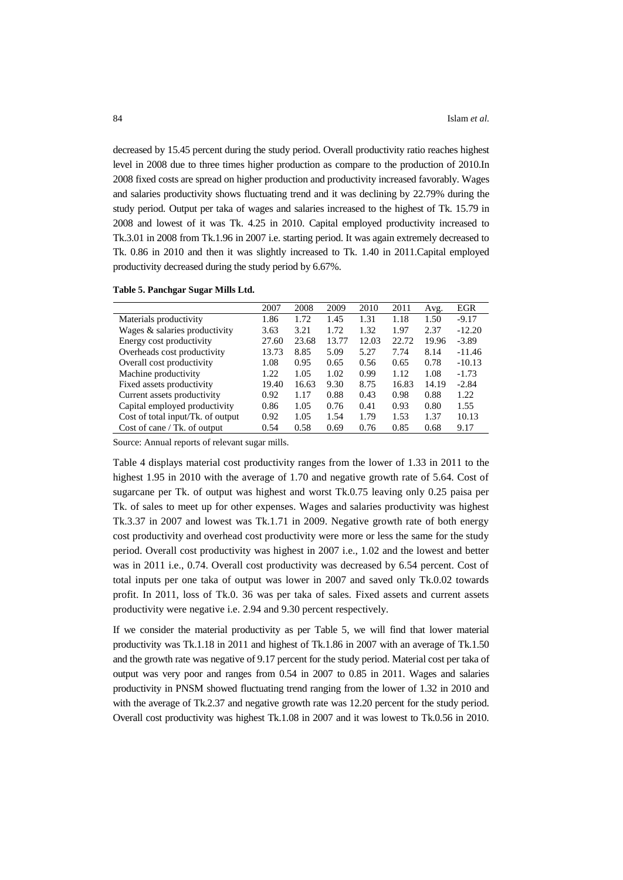decreased by 15.45 percent during the study period. Overall productivity ratio reaches highest level in 2008 due to three times higher production as compare to the production of 2010.In 2008 fixed costs are spread on higher production and productivity increased favorably. Wages and salaries productivity shows fluctuating trend and it was declining by 22.79% during the study period*.* Output per taka of wages and salaries increased to the highest of Tk. 15.79 in 2008 and lowest of it was Tk. 4.25 in 2010. Capital employed productivity increased to Tk.3.01 in 2008 from Tk.1.96 in 2007 i.e. starting period. It was again extremely decreased to Tk. 0.86 in 2010 and then it was slightly increased to Tk. 1.40 in 2011.Capital employed productivity decreased during the study period by 6.67%.

|  | Table 5. Panchgar Sugar Mills Ltd. |  |  |  |
|--|------------------------------------|--|--|--|
|--|------------------------------------|--|--|--|

|                                   | 2007  | 2008  | 2009  | 2010  | 2011  | Avg.  | EGR      |
|-----------------------------------|-------|-------|-------|-------|-------|-------|----------|
| Materials productivity            | 1.86  | 1.72  | 1.45  | 1.31  | 1.18  | 1.50  | $-9.17$  |
| Wages & salaries productivity     | 3.63  | 3.21  | 1.72  | 1.32  | 1.97  | 2.37  | $-12.20$ |
| Energy cost productivity          | 27.60 | 23.68 | 13.77 | 12.03 | 22.72 | 19.96 | $-3.89$  |
| Overheads cost productivity       | 13.73 | 8.85  | 5.09  | 5.27  | 7.74  | 8.14  | $-11.46$ |
| Overall cost productivity         | 1.08  | 0.95  | 0.65  | 0.56  | 0.65  | 0.78  | $-10.13$ |
| Machine productivity              | 1.22  | 1.05  | 1.02  | 0.99  | 1.12  | 1.08  | $-1.73$  |
| Fixed assets productivity         | 19.40 | 16.63 | 9.30  | 8.75  | 16.83 | 14.19 | $-2.84$  |
| Current assets productivity       | 0.92  | 1.17  | 0.88  | 0.43  | 0.98  | 0.88  | 1.22     |
| Capital employed productivity     | 0.86  | 1.05  | 0.76  | 0.41  | 0.93  | 0.80  | 1.55     |
| Cost of total input/Tk. of output | 0.92  | 1.05  | 1.54  | 1.79  | 1.53  | 1.37  | 10.13    |
| Cost of cane $/$ Tk. of output    | 0.54  | 0.58  | 0.69  | 0.76  | 0.85  | 0.68  | 9.17     |

Source: Annual reports of relevant sugar mills.

Table 4 displays material cost productivity ranges from the lower of 1.33 in 2011 to the highest 1.95 in 2010 with the average of 1.70 and negative growth rate of 5.64. Cost of sugarcane per Tk. of output was highest and worst Tk.0.75 leaving only 0.25 paisa per Tk. of sales to meet up for other expenses. Wages and salaries productivity was highest Tk.3.37 in 2007 and lowest was Tk.1.71 in 2009. Negative growth rate of both energy cost productivity and overhead cost productivity were more or less the same for the study period. Overall cost productivity was highest in 2007 i.e., 1.02 and the lowest and better was in 2011 i.e., 0.74. Overall cost productivity was decreased by 6.54 percent. Cost of total inputs per one taka of output was lower in 2007 and saved only Tk.0.02 towards profit. In 2011, loss of Tk.0. 36 was per taka of sales. Fixed assets and current assets productivity were negative i.e. 2.94 and 9.30 percent respectively.

If we consider the material productivity as per Table 5, we will find that lower material productivity was Tk.1.18 in 2011 and highest of Tk.1.86 in 2007 with an average of Tk.1.50 and the growth rate was negative of 9.17 percent for the study period. Material cost per taka of output was very poor and ranges from 0.54 in 2007 to 0.85 in 2011. Wages and salaries productivity in PNSM showed fluctuating trend ranging from the lower of 1.32 in 2010 and with the average of Tk.2.37 and negative growth rate was 12.20 percent for the study period. Overall cost productivity was highest Tk.1.08 in 2007 and it was lowest to Tk.0.56 in 2010.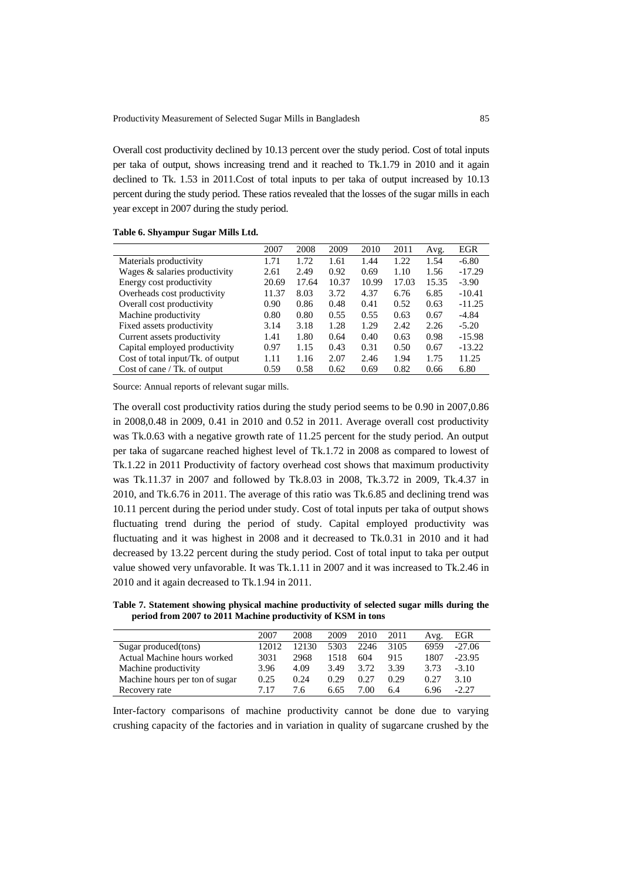Overall cost productivity declined by 10.13 percent over the study period. Cost of total inputs per taka of output, shows increasing trend and it reached to Tk.1.79 in 2010 and it again declined to Tk. 1.53 in 2011.Cost of total inputs to per taka of output increased by 10.13 percent during the study period. These ratios revealed that the losses of the sugar mills in each year except in 2007 during the study period.

|  | Table 6. Shyampur Sugar Mills Ltd. |  |  |  |
|--|------------------------------------|--|--|--|
|--|------------------------------------|--|--|--|

|                                   | 2007  | 2008  | 2009  | 2010  | 2011  | Avg.  | EGR      |
|-----------------------------------|-------|-------|-------|-------|-------|-------|----------|
| Materials productivity            | 1.71  | 1.72  | 1.61  | 1.44  | 1.22  | 1.54  | $-6.80$  |
| Wages & salaries productivity     | 2.61  | 2.49  | 0.92  | 0.69  | 1.10  | 1.56  | $-17.29$ |
| Energy cost productivity          | 20.69 | 17.64 | 10.37 | 10.99 | 17.03 | 15.35 | $-3.90$  |
| Overheads cost productivity       | 11.37 | 8.03  | 3.72  | 4.37  | 6.76  | 6.85  | $-10.41$ |
| Overall cost productivity         | 0.90  | 0.86  | 0.48  | 0.41  | 0.52  | 0.63  | $-11.25$ |
| Machine productivity              | 0.80  | 0.80  | 0.55  | 0.55  | 0.63  | 0.67  | $-4.84$  |
| Fixed assets productivity         | 3.14  | 3.18  | 1.28  | 1.29  | 2.42  | 2.26  | $-5.20$  |
| Current assets productivity       | 1.41  | 1.80  | 0.64  | 0.40  | 0.63  | 0.98  | $-15.98$ |
| Capital employed productivity     | 0.97  | 1.15  | 0.43  | 0.31  | 0.50  | 0.67  | $-13.22$ |
| Cost of total input/Tk. of output | 1.11  | 1.16  | 2.07  | 2.46  | 1.94  | 1.75  | 11.25    |
| Cost of cane / Tk. of output      | 0.59  | 0.58  | 0.62  | 0.69  | 0.82  | 0.66  | 6.80     |

Source: Annual reports of relevant sugar mills.

The overall cost productivity ratios during the study period seems to be 0.90 in 2007,0.86 in 2008,0.48 in 2009, 0.41 in 2010 and 0.52 in 2011. Average overall cost productivity was Tk.0.63 with a negative growth rate of 11.25 percent for the study period. An output per taka of sugarcane reached highest level of Tk.1.72 in 2008 as compared to lowest of Tk.1.22 in 2011 Productivity of factory overhead cost shows that maximum productivity was Tk.11.37 in 2007 and followed by Tk.8.03 in 2008, Tk.3.72 in 2009, Tk.4.37 in 2010, and Tk.6.76 in 2011. The average of this ratio was Tk.6.85 and declining trend was 10.11 percent during the period under study. Cost of total inputs per taka of output shows fluctuating trend during the period of study. Capital employed productivity was fluctuating and it was highest in 2008 and it decreased to Tk.0.31 in 2010 and it had decreased by 13.22 percent during the study period. Cost of total input to taka per output value showed very unfavorable. It was Tk.1.11 in 2007 and it was increased to Tk.2.46 in 2010 and it again decreased to Tk.1.94 in 2011.

**Table 7. Statement showing physical machine productivity of selected sugar mills during the period from 2007 to 2011 Machine productivity of KSM in tons**

|                                | 2007  | 2008  | 2009 | 2010 | 2011 | Avg. | EGR      |
|--------------------------------|-------|-------|------|------|------|------|----------|
| Sugar produced (tons)          | 12012 | 12130 | 5303 | 2246 | 3105 | 6959 | $-27.06$ |
| Actual Machine hours worked    | 3031  | 2968  | 1518 | 604  | 915  | 1807 | $-23.95$ |
| Machine productivity           | 3.96  | 4.09  | 3.49 | 3.72 | 3.39 | 3.73 | $-3.10$  |
| Machine hours per ton of sugar | 0.25  | 0.24  | 0.29 | 0.27 | 0.29 | 0.27 | 3.10     |
| Recovery rate                  | 7 17  | 7.6   | 6.65 | 7.00 | 6.4  | 6.96 | $-2.27$  |

Inter-factory comparisons of machine productivity cannot be done due to varying crushing capacity of the factories and in variation in quality of sugarcane crushed by the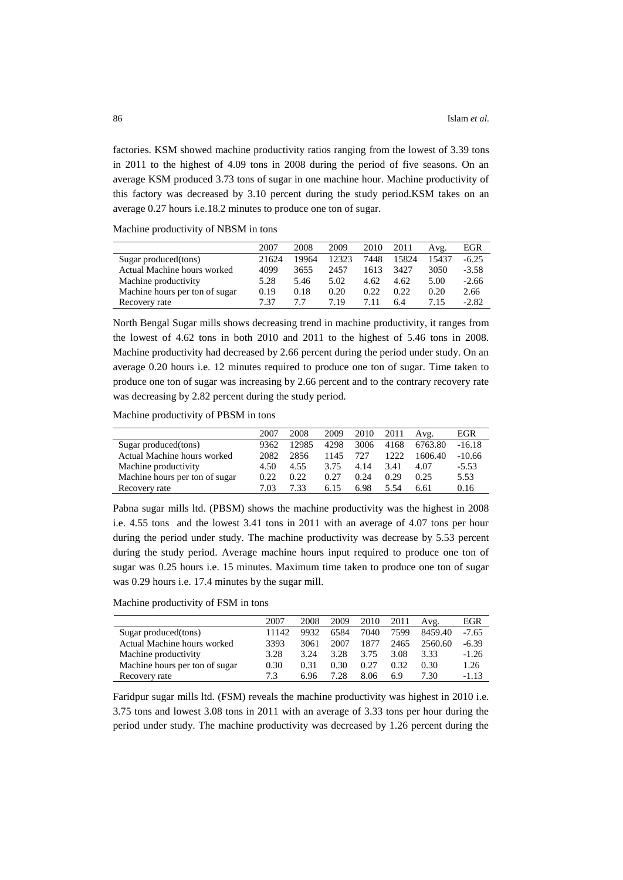factories. KSM showed machine productivity ratios ranging from the lowest of 3.39 tons in 2011 to the highest of 4.09 tons in 2008 during the period of five seasons. On an average KSM produced 3.73 tons of sugar in one machine hour. Machine productivity of this factory was decreased by 3.10 percent during the study period.KSM takes on an average 0.27 hours i.e.18.2 minutes to produce one ton of sugar.

Machine productivity of NBSM in tons

|                                | 2007  | 2008  | 2009  | 2010  | 2011  | Avg.  | EGR     |
|--------------------------------|-------|-------|-------|-------|-------|-------|---------|
| Sugar produced(tons)           | 21624 | 19964 | 12323 | 7448  | 15824 | 15437 | $-6.25$ |
| Actual Machine hours worked    | 4099  | 3655  | 2457  | 1613  | 3427  | 3050  | $-3.58$ |
| Machine productivity           | 5.28  | 5.46  | 5.02  | 4.62  | 4.62  | 5.00  | $-2.66$ |
| Machine hours per ton of sugar | 0.19  | 0.18  | 0.20  | 0.22. | 0.22. | 0.20  | 2.66    |
| Recovery rate                  | 7 37  | 77    | 719   | 7.11  | 6.4   | 7.15  | $-2.82$ |

North Bengal Sugar mills shows decreasing trend in machine productivity, it ranges from the lowest of 4.62 tons in both 2010 and 2011 to the highest of 5.46 tons in 2008. Machine productivity had decreased by 2.66 percent during the period under study. On an average 0.20 hours i.e. 12 minutes required to produce one ton of sugar. Time taken to produce one ton of sugar was increasing by 2.66 percent and to the contrary recovery rate was decreasing by 2.82 percent during the study period.

Machine productivity of PBSM in tons

|                                | 2007  | 2008  | 2009 | 2010 | 2011 | Avg.    | EGR      |
|--------------------------------|-------|-------|------|------|------|---------|----------|
| Sugar produced(tons)           | 9362  | 12985 | 4298 | 3006 | 4168 | 6763.80 | $-16.18$ |
| Actual Machine hours worked    | 2082  | 2856  | 1145 | 727  | 1222 | 1606.40 | $-10.66$ |
| Machine productivity           | 4.50  | 4.55  | 3.75 | 4.14 | 3.41 | 4.07    | $-5.53$  |
| Machine hours per ton of sugar | 0.22. | 0.22. | 0.27 | 0.24 | 0.29 | 0.25    | 5.53     |
| Recovery rate                  | 7.03  | 7 33  | 6.15 | 6.98 | 5.54 | 6.61    | 0.16     |

Pabna sugar mills ltd. (PBSM) shows the machine productivity was the highest in 2008 i.e. 4.55 tons and the lowest 3.41 tons in 2011 with an average of 4.07 tons per hour during the period under study. The machine productivity was decrease by 5.53 percent during the study period. Average machine hours input required to produce one ton of sugar was 0.25 hours i.e. 15 minutes. Maximum time taken to produce one ton of sugar was 0.29 hours i.e. 17.4 minutes by the sugar mill.

Machine productivity of FSM in tons

|                                | 2007  | 2008 | 2009              | 2010 | 2011 | Avg.    | EGR     |
|--------------------------------|-------|------|-------------------|------|------|---------|---------|
| Sugar produced (tons)          | 11142 | 9932 | 6584              | 7040 | 7599 | 8459.40 | $-7.65$ |
| Actual Machine hours worked    | 3393  | 3061 | 2007              | 1877 | 2465 | 2560.60 | $-6.39$ |
| Machine productivity           | 3.28  | 3.24 | 3.28              | 3.75 | 3.08 | 3.33    | $-1.26$ |
| Machine hours per ton of sugar | 0.30  | 0.31 | 0.30 <sub>1</sub> | 0.27 | 0.32 | 0.30    | 1.26    |
| Recovery rate                  | 7.3   | 6.96 | 7.28              | 8.06 | 6.9  | 7.30    | -1.13   |

Faridpur sugar mills ltd. (FSM) reveals the machine productivity was highest in 2010 i.e. 3.75 tons and lowest 3.08 tons in 2011 with an average of 3.33 tons per hour during the period under study. The machine productivity was decreased by 1.26 percent during the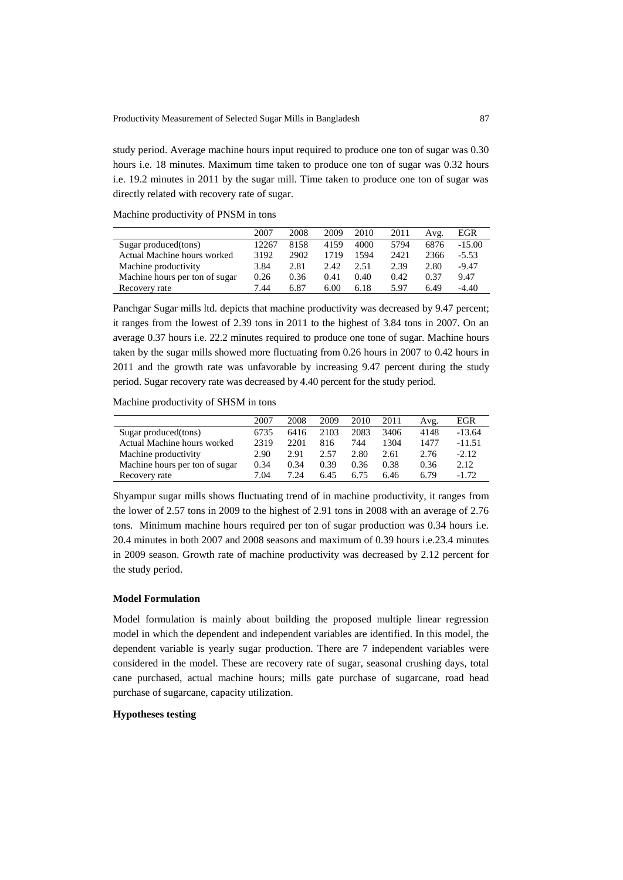study period. Average machine hours input required to produce one ton of sugar was 0.30 hours i.e. 18 minutes. Maximum time taken to produce one ton of sugar was 0.32 hours i.e. 19.2 minutes in 2011 by the sugar mill. Time taken to produce one ton of sugar was directly related with recovery rate of sugar.

|  | Machine productivity of PNSM in tons |  |  |  |  |
|--|--------------------------------------|--|--|--|--|
|--|--------------------------------------|--|--|--|--|

|                                | 2007  | 2008 | 2009 | 2010 | 2011 | Avg. | EGR      |
|--------------------------------|-------|------|------|------|------|------|----------|
| Sugar produced (tons)          | 12267 | 8158 | 4159 | 4000 | 5794 | 6876 | $-15.00$ |
| Actual Machine hours worked    | 3192  | 2902 | 1719 | 1594 | 2421 | 2366 | $-5.53$  |
| Machine productivity           | 3.84  | 2.81 | 2.42 | 2.51 | 2.39 | 2.80 | $-9.47$  |
| Machine hours per ton of sugar | 0.26  | 0.36 | 0.41 | 0.40 | 0.42 | 0.37 | 9.47     |
| Recovery rate                  | 7.44  | 6.87 | 6.00 | 6.18 | 5.97 | 6.49 | $-4.40$  |

Panchgar Sugar mills ltd. depicts that machine productivity was decreased by 9.47 percent; it ranges from the lowest of 2.39 tons in 2011 to the highest of 3.84 tons in 2007. On an average 0.37 hours i.e. 22.2 minutes required to produce one tone of sugar. Machine hours taken by the sugar mills showed more fluctuating from 0.26 hours in 2007 to 0.42 hours in 2011 and the growth rate was unfavorable by increasing 9.47 percent during the study period. Sugar recovery rate was decreased by 4.40 percent for the study period.

Machine productivity of SHSM in tons

|                                | 2007 | 2008 | 2009 | 2010 | 2011 | Avg. | EGR      |
|--------------------------------|------|------|------|------|------|------|----------|
| Sugar produced(tons)           | 6735 | 6416 | 2103 | 2083 | 3406 | 4148 | $-13.64$ |
| Actual Machine hours worked    | 2319 | 2201 | 816  | 744  | 1304 | 1477 | $-11.51$ |
| Machine productivity           | 2.90 | 2.91 | 2.57 | 2.80 | 2.61 | 2.76 | $-2.12$  |
| Machine hours per ton of sugar | 0.34 | 0.34 | 0.39 | 0.36 | 0.38 | 0.36 | 2.12     |
| Recovery rate                  | 7.04 | 7 94 | 6.45 | 6.75 | 6.46 | 6.79 | $-1.72$  |

Shyampur sugar mills shows fluctuating trend of in machine productivity, it ranges from the lower of 2.57 tons in 2009 to the highest of 2.91 tons in 2008 with an average of 2.76 tons. Minimum machine hours required per ton of sugar production was 0.34 hours i.e. 20.4 minutes in both 2007 and 2008 seasons and maximum of 0.39 hours i.e.23.4 minutes in 2009 season. Growth rate of machine productivity was decreased by 2.12 percent for the study period.

#### **Model Formulation**

Model formulation is mainly about building the proposed multiple linear regression model in which the dependent and independent variables are identified. In this model, the dependent variable is yearly sugar production. There are 7 independent variables were considered in the model. These are recovery rate of sugar, seasonal crushing days, total cane purchased, actual machine hours; mills gate purchase of sugarcane, road head purchase of sugarcane, capacity utilization.

### **Hypotheses testing**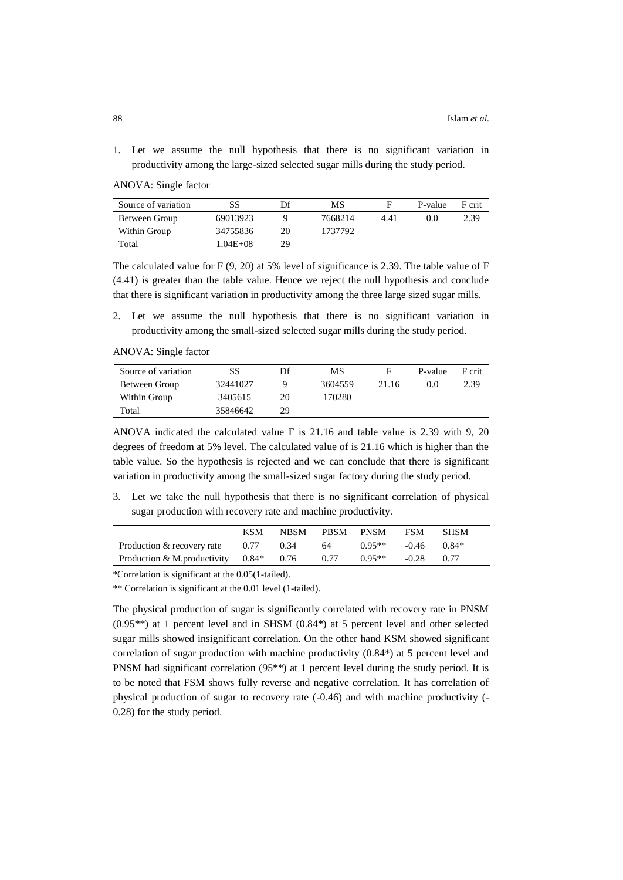1. Let we assume the null hypothesis that there is no significant variation in productivity among the large-sized selected sugar mills during the study period.

ANOVA: Single factor

| Source of variation | SS           | Df | МS      |      | P-value | F crit |
|---------------------|--------------|----|---------|------|---------|--------|
| Between Group       | 69013923     |    | 7668214 | 4.41 | (0.0)   | 2.39   |
| Within Group        | 34755836     | 20 | 1737792 |      |         |        |
| Total               | $1.04E + 08$ | 29 |         |      |         |        |

The calculated value for F (9, 20) at 5% level of significance is 2.39. The table value of F (4.41) is greater than the table value. Hence we reject the null hypothesis and conclude that there is significant variation in productivity among the three large sized sugar mills.

2. Let we assume the null hypothesis that there is no significant variation in productivity among the small-sized selected sugar mills during the study period.

ANOVA: Single factor

| Source of variation | SS       | Df | MS      |       | P-value | F crit |
|---------------------|----------|----|---------|-------|---------|--------|
| Between Group       | 32441027 |    | 3604559 | 21.16 | 0.0     | 2.39   |
| Within Group        | 3405615  | 20 | 170280  |       |         |        |
| Total               | 35846642 | 29 |         |       |         |        |

ANOVA indicated the calculated value F is 21.16 and table value is 2.39 with 9, 20 degrees of freedom at 5% level. The calculated value of is 21.16 which is higher than the table value. So the hypothesis is rejected and we can conclude that there is significant variation in productivity among the small-sized sugar factory during the study period.

3. Let we take the null hypothesis that there is no significant correlation of physical sugar production with recovery rate and machine productivity.

|                             | KSM     | <b>NBSM</b> | <b>PBSM</b> | <b>PNSM</b> | FSM     | <b>SHSM</b> |
|-----------------------------|---------|-------------|-------------|-------------|---------|-------------|
| Production & recovery rate  | 0.77    | 0.34        | 64          | $0.95**$    | $-0.46$ | $0.84*$     |
| Production & M.productivity | $0.84*$ | 0.76        | 0.77        | $0.95**$    | $-0.28$ | 0.77        |

\*Correlation is significant at the 0.05(1-tailed).

\*\* Correlation is significant at the 0.01 level (1-tailed).

The physical production of sugar is significantly correlated with recovery rate in PNSM  $(0.95^{**})$  at 1 percent level and in SHSM  $(0.84^*)$  at 5 percent level and other selected sugar mills showed insignificant correlation. On the other hand KSM showed significant correlation of sugar production with machine productivity  $(0.84*)$  at 5 percent level and PNSM had significant correlation (95\*\*) at 1 percent level during the study period. It is to be noted that FSM shows fully reverse and negative correlation. It has correlation of physical production of sugar to recovery rate (-0.46) and with machine productivity (- 0.28) for the study period.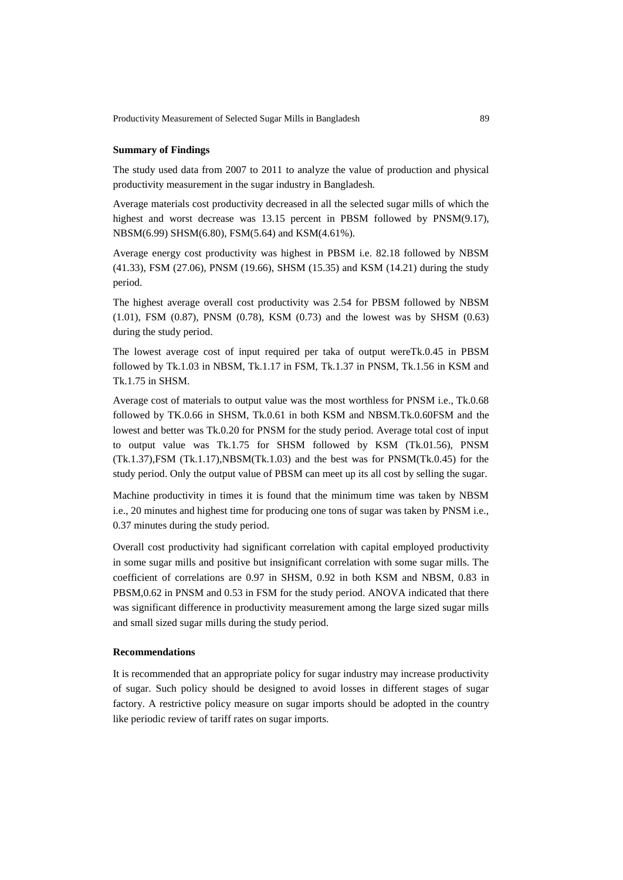#### **Summary of Findings**

The study used data from 2007 to 2011 to analyze the value of production and physical productivity measurement in the sugar industry in Bangladesh.

Average materials cost productivity decreased in all the selected sugar mills of which the highest and worst decrease was 13.15 percent in PBSM followed by PNSM(9.17), NBSM(6.99) SHSM(6.80), FSM(5.64) and KSM(4.61%).

Average energy cost productivity was highest in PBSM i.e. 82.18 followed by NBSM (41.33), FSM (27.06), PNSM (19.66), SHSM (15.35) and KSM (14.21) during the study period.

The highest average overall cost productivity was 2.54 for PBSM followed by NBSM (1.01), FSM (0.87), PNSM (0.78), KSM (0.73) and the lowest was by SHSM (0.63) during the study period.

The lowest average cost of input required per taka of output wereTk.0.45 in PBSM followed by Tk.1.03 in NBSM, Tk.1.17 in FSM, Tk.1.37 in PNSM, Tk.1.56 in KSM and Tk.1.75 in SHSM.

Average cost of materials to output value was the most worthless for PNSM i.e., Tk.0.68 followed by TK.0.66 in SHSM, Tk.0.61 in both KSM and NBSM.Tk.0.60FSM and the lowest and better was Tk.0.20 for PNSM for the study period. Average total cost of input to output value was Tk.1.75 for SHSM followed by KSM (Tk.01.56), PNSM  $(Tk.1.37)$ , FSM  $(Tk.1.17)$ , NBSM $(Tk.1.03)$  and the best was for PNSM $(Tk.0.45)$  for the study period. Only the output value of PBSM can meet up its all cost by selling the sugar.

Machine productivity in times it is found that the minimum time was taken by NBSM i.e., 20 minutes and highest time for producing one tons of sugar was taken by PNSM i.e., 0.37 minutes during the study period.

Overall cost productivity had significant correlation with capital employed productivity in some sugar mills and positive but insignificant correlation with some sugar mills. The coefficient of correlations are 0.97 in SHSM, 0.92 in both KSM and NBSM, 0.83 in PBSM,0.62 in PNSM and 0.53 in FSM for the study period. ANOVA indicated that there was significant difference in productivity measurement among the large sized sugar mills and small sized sugar mills during the study period.

#### **Recommendations**

It is recommended that an appropriate policy for sugar industry may increase productivity of sugar. Such policy should be designed to avoid losses in different stages of sugar factory. A restrictive policy measure on sugar imports should be adopted in the country like periodic review of tariff rates on sugar imports.